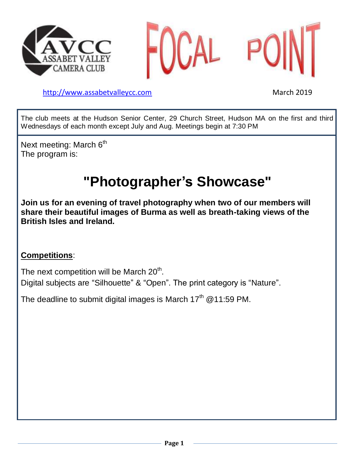



[http://www.assabetvalleyc](http://www.assabetvalley/)c.com March 2019

The club meets at the Hudson Senior Center, 29 Church Street, Hudson MA on the first and third Wednesdays of each month except July and Aug. Meetings begin at 7:30 PM

Next meeting: March 6<sup>th</sup> The program is:

# **"Photographer's Showcase"**

**Join us for an evening of travel photography when two of our members will share their beautiful images of Burma as well as breath-taking views of the British Isles and Ireland.**

## **Competitions**:

The next competition will be March 20<sup>th</sup>.

Digital subjects are "Silhouette" & "Open". The print category is "Nature".

The deadline to submit digital images is March 17<sup>th</sup> @11:59 PM.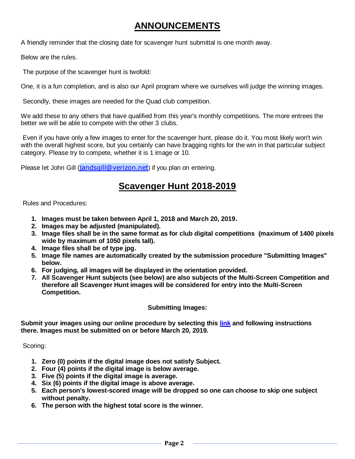## **ANNOUNCEMENTS**

A friendly reminder that the closing date for scavenger hunt submittal is one month away.

Below are the rules.

The purpose of the scavenger hunt is twofold:

One, it is a fun completion, and is also our April program where we ourselves will judge the winning images.

Secondly, these images are needed for the Quad club competition.

We add these to any others that have qualified from this year's monthly competitions. The more entrees the better we will be able to compete with the other 3 clubs.

Even if you have only a few images to enter for the scavenger hunt, please do it. You most likely won't win with the overall highest score, but you certainly can have bragging rights for the win in that particular subject category. Please try to compete, whether it is 1 image or 10.

Please let John Gill ([jandsgill@verizon.net](mailto:jandsgill@verizon.net)) if you plan on entering.

### **Scavenger Hunt 2018-2019**

Rules and Procedures:

- **1. Images must be taken between April 1, 2018 and March 20, 2019.**
- **2. Images may be adjusted (manipulated).**
- **3. Image files shall be in the same format as for club digital competitions (maximum of 1400 pixels wide by maximum of 1050 pixels tall).**
- **4. Image files shall be of type jpg.**
- **5. Image file names are automatically created by the submission procedure "Submitting Images" below.**
- **6. For judging, all images will be displayed in the orientation provided.**
- **7. All Scavenger Hunt subjects (see below) are also subjects of the Multi-Screen Competition and therefore all Scavenger Hunt images will be considered for entry into the Multi-Screen Competition.**

#### **Submitting Images:**

**Submit your images using our online procedure by selecting this [link](http://www.assabetvalleycc.com/sh/index.php) and following instructions there. Images must be submitted on or before March 20, 2019.**

Scoring:

- **1. Zero (0) points if the digital image does not satisfy Subject.**
- **2. Four (4) points if the digital image is below average.**
- **3. Five (5) points if the digital image is average.**
- **4. Six (6) points if the digital image is above average.**
- **5. Each person's lowest-scored image will be dropped so one can choose to skip one subject without penalty.**
- **6. The person with the highest total score is the winner.**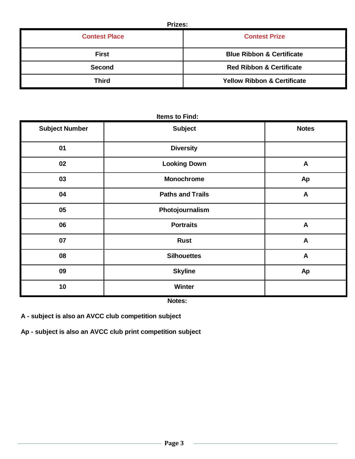| <b>Contest Place</b> | <b>Contest Prize</b>                   |
|----------------------|----------------------------------------|
| <b>First</b>         | <b>Blue Ribbon &amp; Certificate</b>   |
| Second               | <b>Red Ribbon &amp; Certificate</b>    |
| <b>Third</b>         | <b>Yellow Ribbon &amp; Certificate</b> |

| <b>Refris to Find:</b> |                         |                  |  |  |  |  |  |  |
|------------------------|-------------------------|------------------|--|--|--|--|--|--|
| <b>Subject Number</b>  | <b>Subject</b>          | <b>Notes</b>     |  |  |  |  |  |  |
| 01                     | <b>Diversity</b>        |                  |  |  |  |  |  |  |
| 02                     | <b>Looking Down</b>     | $\mathbf{A}$     |  |  |  |  |  |  |
| 03                     | <b>Monochrome</b>       | Ap               |  |  |  |  |  |  |
| 04                     | <b>Paths and Trails</b> | $\mathbf{A}$     |  |  |  |  |  |  |
| 05                     | Photojournalism         |                  |  |  |  |  |  |  |
| 06                     | <b>Portraits</b>        | $\boldsymbol{A}$ |  |  |  |  |  |  |
| 07                     | <b>Rust</b>             | $\mathbf{A}$     |  |  |  |  |  |  |
| 08                     | <b>Silhouettes</b>      | A                |  |  |  |  |  |  |
| 09                     | <b>Skyline</b>          | Ap               |  |  |  |  |  |  |
| 10                     | <b>Winter</b>           |                  |  |  |  |  |  |  |
|                        |                         |                  |  |  |  |  |  |  |

### **Items to Find:**

**Notes:**

**A - subject is also an AVCC club competition subject**

**Ap - subject is also an AVCC club print competition subject**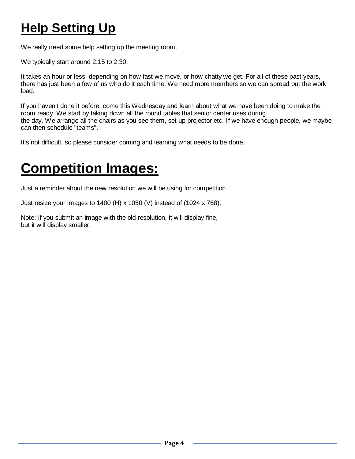# **Help Setting Up**

We really need some help setting up the meeting room.

We typically start around 2:15 to 2:30.

It takes an hour or less, depending on how fast we move, or how chatty we get. For all of these past years, there has just been a few of us who do it each time. We need more members so we can spread out the work load.

If you haven't done it before, come this Wednesday and learn about what we have been doing to make the room ready. We start by taking down all the round tables that senior center uses during the day. We arrange all the chairs as you see them, set up projector etc. If we have enough people, we maybe can then schedule "teams".

It's not difficult, so please consider coming and learning what needs to be done.

## **Competition Images:**

Just a reminder about the new resolution we will be using for competition.

Just resize your images to 1400 (H) x 1050 (V) instead of (1024 x 768).

Note: If you submit an image with the old resolution, it will display fine, but it will display smaller.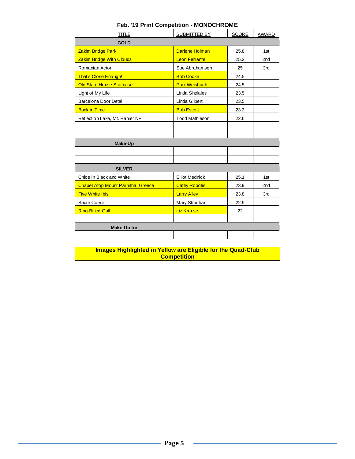| <b>TITLE</b>                              | SUBMITTED BY          | <b>SCORE</b> | <b>AWARD</b>    |
|-------------------------------------------|-----------------------|--------------|-----------------|
| <b>GOLD</b>                               |                       |              |                 |
| Zakim Bridge Park                         | <b>Darlene Holman</b> | 25.8         | 1st             |
| <b>Zakim Bridge With Clouds</b>           | <b>Leon Ferrante</b>  | 25.2         | 2nd             |
| Romanian Actor                            | Sue Abrahamsen        | 25           | 3rd             |
| That's Close Enough!                      | <b>Bob Cooke</b>      | 24.5         |                 |
| Old State House Staircase                 | <b>Paul Weisbach</b>  | 24.5         |                 |
| Light of My Life                          | Linda Shelales        | 23.5         |                 |
| Barcelona Door Detail                     | Linda Gilberti        | 23.5         |                 |
| <b>Back in Time</b>                       | <b>Bob Escott</b>     | 23.3         |                 |
| Reflection Lake, Mt. Ranier NP            | <b>Todd Mathieson</b> | 22.6         |                 |
|                                           |                       |              |                 |
|                                           |                       |              |                 |
| Make-Up                                   |                       |              |                 |
|                                           |                       |              |                 |
|                                           |                       |              |                 |
| <b>SILVER</b>                             |                       |              |                 |
| Chloe in Black and White                  | <b>Elliot Mednick</b> | 25.1         | 1st             |
| <b>Chapel Atop Mount Parnitha, Greece</b> | <b>Cathy Robotis</b>  | 23.9         | 2 <sub>nd</sub> |
| <b>Five White Ibis</b>                    | <b>Larry Alley</b>    | 23.8         | 3rd             |
| Sacre Coeur                               | Mary Strachan         | 22.9         |                 |
| <b>Ring-Billed Gull</b>                   | <b>Liz Krouse</b>     | 22           |                 |
|                                           |                       |              |                 |
| Make-Up for                               |                       |              |                 |
|                                           |                       |              |                 |

### **Feb. '19 Print Competition - MONOCHROME**

**Images Highlighted in Yellow are Eligible for the Quad-Club Competition**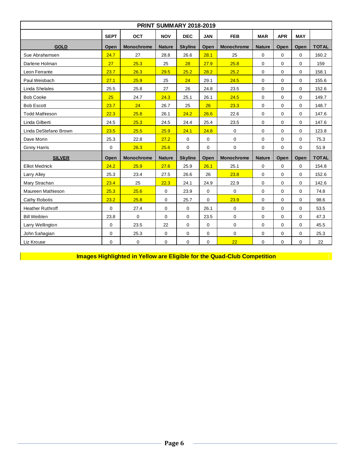| <b>PRINT SUMMARY 2018-2019</b> |             |                   |               |                |             |                   |                            |             |             |              |  |  |  |
|--------------------------------|-------------|-------------------|---------------|----------------|-------------|-------------------|----------------------------|-------------|-------------|--------------|--|--|--|
|                                | <b>SEPT</b> | <b>OCT</b>        | <b>NOV</b>    | <b>DEC</b>     | <b>JAN</b>  | <b>FEB</b>        | <b>MAR</b>                 | <b>APR</b>  | <b>MAY</b>  |              |  |  |  |
| <b>GOLD</b>                    | Open        | <b>Monochrome</b> | <b>Nature</b> | <b>Skyline</b> | Open        | <b>Monochrome</b> | <b>Nature</b>              | Open        | Open        | <b>TOTAL</b> |  |  |  |
| Sue Abrahamsen                 | 24.7        | 27                | 28.8          | 26.6           | 28.1        | 25                | 0                          | $\Omega$    | $\mathbf 0$ | 160.2        |  |  |  |
| Darlene Holman                 | 27          | 25.3              | 25            | 28             | 27.9        | 25.8              | 0                          | $\mathbf 0$ | $\mathbf 0$ | 159          |  |  |  |
| Leon Ferrante                  | 23.7        | 26.3              | 29.5          | 25.2           | 28.2        | 25.2              | $\mathbf 0$                | 0           | $\mathbf 0$ | 158.1        |  |  |  |
| Paul Weisbach                  | 27.1        | 25.9              | 25            | 24             | 29.1        | 24.5              | $\mathbf 0$                | $\Omega$    | $\Omega$    | 155.6        |  |  |  |
| Linda Shelales                 | 25.5        | 25.8              | 27            | 26             | 24.8        | 23.5              | 0                          | $\mathbf 0$ | $\mathbf 0$ | 152.6        |  |  |  |
| <b>Bob Cooke</b>               | 25          | 24.7              | 24.3          | 25.1           | 26.1        | 24.5              | $\mathbf 0$                | $\Omega$    | $\Omega$    | 149.7        |  |  |  |
| <b>Bob Escott</b>              | 23.7        | 24                | 26.7          | 25             | 26          | 23.3              | 0                          | $\mathbf 0$ | 0           | 148.7        |  |  |  |
| <b>Todd Mathieson</b>          | 22.3        | 25.8              | 26.1          | 24.2           | 26.6        | 22.6              | 0                          | $\Omega$    | 0           | 147.6        |  |  |  |
| Linda Gilberti                 | 24.5        | 25.3              | 24.5          | 24.4           | 25.4        | 23.5              | 0                          | $\Omega$    | $\Omega$    | 147.6        |  |  |  |
| Linda DeStefano Brown          | 23.5        | 25.5              | 25.9          | 24.1           | 24.8        | $\mathbf 0$       | $\mathbf 0$<br>$\mathbf 0$ |             | $\Omega$    | 123.8        |  |  |  |
| Dave Morin                     | 25.3        | 22.8              | 27.2          | $\mathbf 0$    | 0           | $\mathbf 0$       | 0                          | 0           | $\mathbf 0$ | 75.3         |  |  |  |
| <b>Ginny Harris</b>            | $\mathbf 0$ | 26.3              | 25.6          | 0              | $\Omega$    | $\mathbf 0$       | $\mathbf 0$                | $\Omega$    | $\Omega$    | 51.9         |  |  |  |
| <b>SILVER</b>                  | Open        | <b>Monochrome</b> | <b>Nature</b> | <b>Skyline</b> | Open        | Monochrome        | <b>Nature</b>              | Open        | Open        | <b>TOTAL</b> |  |  |  |
| <b>Elliot Mednick</b>          | 24.2        | 25.9              | 27.6          | 25.9           | 26.1        | 25.1              | 0                          | $\Omega$    | $\mathbf 0$ | 154.8        |  |  |  |
| Larry Alley                    | 25.3        | 23.4              | 27.5          | 26.6           | 26          | 23.8              | 0                          | $\mathbf 0$ | $\mathbf 0$ | 152.6        |  |  |  |
| Mary Strachan                  | 23.4        | 25                | 22.3          | 24.1           | 24.9        | 22.9              | $\mathbf 0$                | $\Omega$    | $\Omega$    | 142.6        |  |  |  |
| Maureen Mathieson              | 25.3        | 25.6              | $\mathbf 0$   | 23.9           | 0           | $\mathbf 0$       | 0                          | $\mathbf 0$ | $\mathbf 0$ | 74.8         |  |  |  |
| Cathy Robotis                  | 23.2        | 25.8              | $\Omega$      | 25.7           | $\Omega$    | 23.9              | 0                          | $\Omega$    | $\Omega$    | 98.6         |  |  |  |
| <b>Heather Ruthroff</b>        | $\mathbf 0$ | 27.4              | 0             | $\mathbf 0$    | 26.1        | 0                 | 0                          | $\mathbf 0$ | $\mathbf 0$ | 53.5         |  |  |  |
| <b>Bill Weiblen</b>            | 23.8        | $\mathbf 0$       | $\mathbf 0$   | 0              | 23.5        | $\mathbf 0$       | 0                          | $\mathbf 0$ | $\mathbf 0$ | 47.3         |  |  |  |
| Larry Wellington               | 0           | 23.5              | 22            | $\mathbf 0$    | $\mathbf 0$ | $\mathbf 0$       | 0                          | $\mathbf 0$ | $\mathbf 0$ | 45.5         |  |  |  |
| John Sahagian                  | 0           | 25.3              | $\mathbf 0$   | 0              | 0           | $\Omega$          | $\mathbf 0$                | $\Omega$    | 0           | 25.3         |  |  |  |
| Liz Krouse                     | 0           | 0                 | 0             | 0              | 0           | 22                | 0                          | 0           | $\mathbf 0$ | 22           |  |  |  |

**Images Highlighted in Yellow are Eligible for the Quad-Club Competition**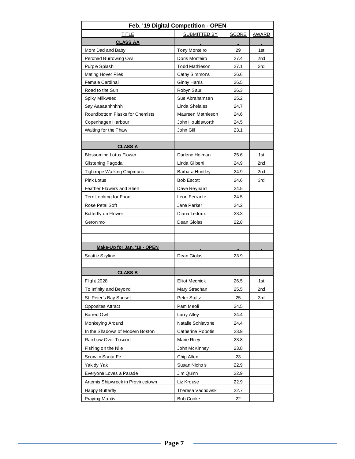| Feb. '19 Digital Competition - OPEN |                       |              |                 |  |  |  |  |  |  |  |
|-------------------------------------|-----------------------|--------------|-----------------|--|--|--|--|--|--|--|
| <b>TITLE</b>                        | SUBMITTED BY          | <b>SCORE</b> | <b>AWARD</b>    |  |  |  |  |  |  |  |
| <b>CLASS AA</b>                     |                       |              |                 |  |  |  |  |  |  |  |
| Mom Dad and Baby                    | Tony Monteiro         | 29           | 1st             |  |  |  |  |  |  |  |
| Perched Burrowing Owl               | Doris Monteiro        | 27.4         | 2 <sub>nd</sub> |  |  |  |  |  |  |  |
| Purple Splash                       | Todd Mathieson        | 27.1         | 3rd             |  |  |  |  |  |  |  |
| <b>Mating Hover Flies</b>           | Cathy Simmons         | 26.6         |                 |  |  |  |  |  |  |  |
| <b>Female Cardinal</b>              | <b>Ginny Harris</b>   | 26.5         |                 |  |  |  |  |  |  |  |
| Road to the Sun                     | Robyn Saur            | 26.3         |                 |  |  |  |  |  |  |  |
| Spiky Milkweed                      | Sue Abrahamsen        | 25.2         |                 |  |  |  |  |  |  |  |
| Say Aaaaahhhhhh                     | Linda Shelales        | 24.7         |                 |  |  |  |  |  |  |  |
| Roundbottom Flasks for Chemists     | Maureen Mathieson     | 24.6         |                 |  |  |  |  |  |  |  |
| Copenhagen Harbour                  | John Houldsworth      | 24.5         |                 |  |  |  |  |  |  |  |
| Waiting for the Thaw                | John Gill             | 23.1         |                 |  |  |  |  |  |  |  |
|                                     |                       |              |                 |  |  |  |  |  |  |  |
| <b>CLASS A</b>                      |                       |              |                 |  |  |  |  |  |  |  |
| <b>Blossoming Lotus Flower</b>      | Darlene Holman        | 25.6         | 1st             |  |  |  |  |  |  |  |
| Glistening Pagoda                   | Linda Gilberti        | 24.9         | 2nd             |  |  |  |  |  |  |  |
| <b>Tightrope Walking Chipmunk</b>   | Barbara Huntley       | 24.9         | 2nd             |  |  |  |  |  |  |  |
| <b>Pink Lotus</b>                   | <b>Bob Escott</b>     | 24.6         | 3rd             |  |  |  |  |  |  |  |
| Feather Flowers and Shell           | Dave Reynard          | 24.5         |                 |  |  |  |  |  |  |  |
| Tern Looking for Food               | Leon Ferrante         | 24.5         |                 |  |  |  |  |  |  |  |
| Rose Petal Soft                     | Jane Parker           | 24.2         |                 |  |  |  |  |  |  |  |
| Butterfly on Flower                 | Diana Ledoux          | 23.3         |                 |  |  |  |  |  |  |  |
| Geronimo                            | Dean Giolas           | 22.8         |                 |  |  |  |  |  |  |  |
|                                     |                       |              |                 |  |  |  |  |  |  |  |
|                                     |                       |              |                 |  |  |  |  |  |  |  |
| Make-Up for Jan. '19 - OPEN         |                       |              |                 |  |  |  |  |  |  |  |
| Seattle Skyline                     | Dean Giolas           | 23.9         |                 |  |  |  |  |  |  |  |
|                                     |                       |              |                 |  |  |  |  |  |  |  |
| <b>CLASS B</b>                      |                       |              |                 |  |  |  |  |  |  |  |
| Flight 2028                         | <b>Elliot Mednick</b> | 26.5         | 1st             |  |  |  |  |  |  |  |
| To Infinity and Beyond              | Mary Strachan         | 25.5         | 2nd             |  |  |  |  |  |  |  |
| St. Peter's Bay Sunset              | Peter Stultz          | 25           | 3rd             |  |  |  |  |  |  |  |
| <b>Opposites Attract</b>            | Pam Meoli             | 24.5         |                 |  |  |  |  |  |  |  |
| <b>Barred Owl</b>                   | Larry Alley           | 24.4         |                 |  |  |  |  |  |  |  |
| Monkeying Around                    | Natalie Schiavone     | 24.4         |                 |  |  |  |  |  |  |  |
| In the Shadows of Modern Boston     | Catherine Robotis     | 23.9         |                 |  |  |  |  |  |  |  |
| Rainbow Over Tuscon                 | Marie Riley           | 23.8         |                 |  |  |  |  |  |  |  |
| Fishing on the Nile                 | John McKinney         | 23.8         |                 |  |  |  |  |  |  |  |
| Snow in Santa Fe                    | Chip Allen            | 23           |                 |  |  |  |  |  |  |  |
| Yakidy Yak                          | Susan Nichols         | 22.9         |                 |  |  |  |  |  |  |  |
| Everyone Loves a Parade             | Jim Quinn             | 22.9         |                 |  |  |  |  |  |  |  |
| Artemis Shipwreck in Provincetown   | Liz Krouse            | 22.9         |                 |  |  |  |  |  |  |  |
| Happy Butterfly                     | Theresa Vachowski     | 22.7         |                 |  |  |  |  |  |  |  |
| <b>Praying Mantis</b>               | <b>Bob Cooke</b>      | 22           |                 |  |  |  |  |  |  |  |
|                                     |                       |              |                 |  |  |  |  |  |  |  |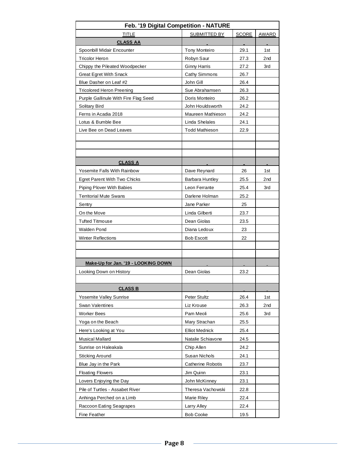| Feb. '19 Digital Competition - NATURE |                        |       |                 |  |  |  |  |  |  |  |  |
|---------------------------------------|------------------------|-------|-----------------|--|--|--|--|--|--|--|--|
| TITLE                                 | SUBMITTED BY           | SCORE | AWARD           |  |  |  |  |  |  |  |  |
| <b>CLASS AA</b>                       |                        |       |                 |  |  |  |  |  |  |  |  |
| Spoonbill Midair Encounter            | <b>Tony Monteiro</b>   | 29.1  | 1st             |  |  |  |  |  |  |  |  |
| Tricolor Heron                        | Robyn Saur             | 27.3  | 2nd             |  |  |  |  |  |  |  |  |
| Chippy the Pileated Woodpecker        | <b>Ginny Harris</b>    | 27.2  | 3rd             |  |  |  |  |  |  |  |  |
| <b>Great Egret With Snack</b>         | Cathy Simmons          | 26.7  |                 |  |  |  |  |  |  |  |  |
| Blue Dasher on Leaf #2                | John Gill              | 26.4  |                 |  |  |  |  |  |  |  |  |
| <b>Tricolored Heron Preening</b>      | Sue Abrahamsen         | 26.3  |                 |  |  |  |  |  |  |  |  |
| Purple Gallinule With Fire Flag Seed  | Doris Monteiro         | 26.2  |                 |  |  |  |  |  |  |  |  |
| Solitary Bird                         | John Houldsworth       | 24.2  |                 |  |  |  |  |  |  |  |  |
| Ferns in Acadia 2018                  | Maureen Mathieson      | 24.2  |                 |  |  |  |  |  |  |  |  |
| Lotus & Bumble Bee                    | Linda Shelales         | 24.1  |                 |  |  |  |  |  |  |  |  |
| Live Bee on Dead Leaves               | <b>Todd Mathieson</b>  | 22.9  |                 |  |  |  |  |  |  |  |  |
|                                       |                        |       |                 |  |  |  |  |  |  |  |  |
|                                       |                        |       |                 |  |  |  |  |  |  |  |  |
|                                       |                        |       |                 |  |  |  |  |  |  |  |  |
| <b>CLASS A</b>                        |                        |       |                 |  |  |  |  |  |  |  |  |
| <b>Yosemite Falls With Rainbow</b>    | Dave Reynard           | 26    | 1st             |  |  |  |  |  |  |  |  |
| <b>Egret Parent With Two Chicks</b>   | <b>Barbara Huntley</b> | 25.5  | 2 <sub>nd</sub> |  |  |  |  |  |  |  |  |
| <b>Piping Plover With Babies</b>      | Leon Ferrante          | 25.4  | 3rd             |  |  |  |  |  |  |  |  |
| <b>Territorial Mute Swans</b>         | Darlene Holman         | 25.2  |                 |  |  |  |  |  |  |  |  |
| Sentry                                | Jane Parker            | 25    |                 |  |  |  |  |  |  |  |  |
| On the Move                           | Linda Gilberti         | 23.7  |                 |  |  |  |  |  |  |  |  |
| <b>Tufted Titmouse</b>                | Dean Giolas            | 23.5  |                 |  |  |  |  |  |  |  |  |
| <b>Walden Pond</b>                    | Diana Ledoux           | 23    |                 |  |  |  |  |  |  |  |  |
| <b>Winter Reflections</b>             | <b>Bob Escott</b>      | 22    |                 |  |  |  |  |  |  |  |  |
|                                       |                        |       |                 |  |  |  |  |  |  |  |  |
|                                       |                        |       |                 |  |  |  |  |  |  |  |  |
| Make-Up for Jan. '19 - LOOKING DOWN   |                        |       |                 |  |  |  |  |  |  |  |  |
| Looking Down on History               | Dean Giolas            | 23.2  |                 |  |  |  |  |  |  |  |  |
|                                       |                        |       |                 |  |  |  |  |  |  |  |  |
| <b>CLASS B</b>                        |                        |       |                 |  |  |  |  |  |  |  |  |
| <b>Yosemite Valley Sunrise</b>        | Peter Stultz           | 26.4  | 1st             |  |  |  |  |  |  |  |  |
| <b>Swan Valentines</b>                | Liz Krouse             | 26.3  | 2nd             |  |  |  |  |  |  |  |  |
| <b>Worker Bees</b>                    | Pam Meoli              | 25.6  | 3rd             |  |  |  |  |  |  |  |  |
| Yoga on the Beach                     | Mary Strachan          | 25.5  |                 |  |  |  |  |  |  |  |  |
| Here's Looking at You                 | <b>Elliot Mednick</b>  | 25.4  |                 |  |  |  |  |  |  |  |  |
| <b>Musical Mallard</b>                | Natalie Schiavone      | 24.5  |                 |  |  |  |  |  |  |  |  |
| Sunrise on Haleakala                  | Chip Allen             | 24.2  |                 |  |  |  |  |  |  |  |  |
| Sticking Around                       | Susan Nichols          | 24.1  |                 |  |  |  |  |  |  |  |  |
| Blue Jay in the Park                  | Catherine Robotis      | 23.7  |                 |  |  |  |  |  |  |  |  |
| <b>Floating Flowers</b>               | Jim Quinn              | 23.1  |                 |  |  |  |  |  |  |  |  |
| Lovers Enjoying the Day               | John McKinney          | 23.1  |                 |  |  |  |  |  |  |  |  |
| Pile of Turtles - Assabet River       | Theresa Vachowski      | 22.8  |                 |  |  |  |  |  |  |  |  |
| Anhinga Perched on a Limb             | Marie Riley            | 22.4  |                 |  |  |  |  |  |  |  |  |
| Raccoon Eating Seagrapes              | Larry Alley            | 22.4  |                 |  |  |  |  |  |  |  |  |
| Fine Feather                          | <b>Bob Cooke</b>       | 19.5  |                 |  |  |  |  |  |  |  |  |